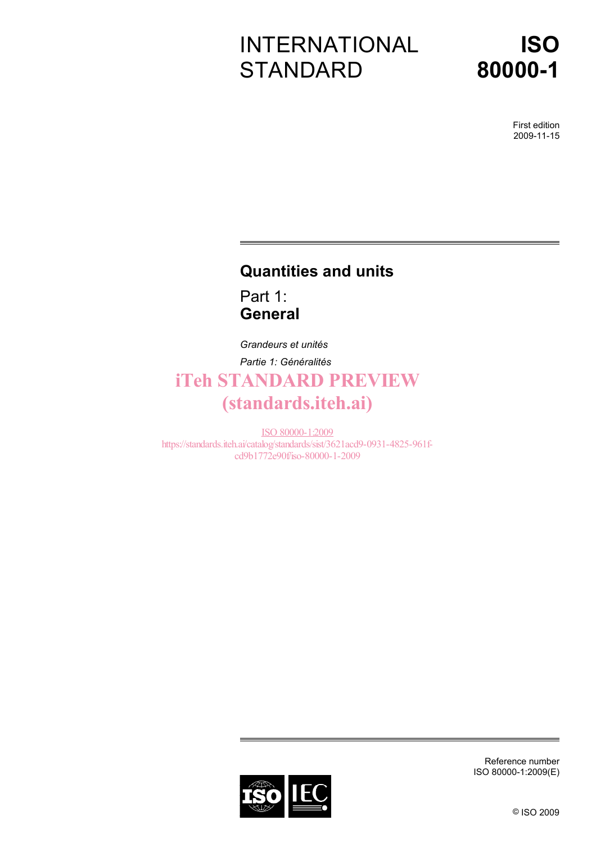# INTERNATIONAL **STANDARD**

# **ISO 80000-1**

First edition 2009-11-15

# **Quantities and units**

Part 1: **General** 

*Grandeurs et unités* 

*Partie 1: Généralités*  iTeh STANDARD PREVIEW (standards.iteh.ai)

ISO 80000-1:2009 https://standards.iteh.ai/catalog/standards/sist/3621acd9-0931-4825-961fcd9b1772e90f/iso-80000-1-2009



Reference number ISO 80000-1:2009(E)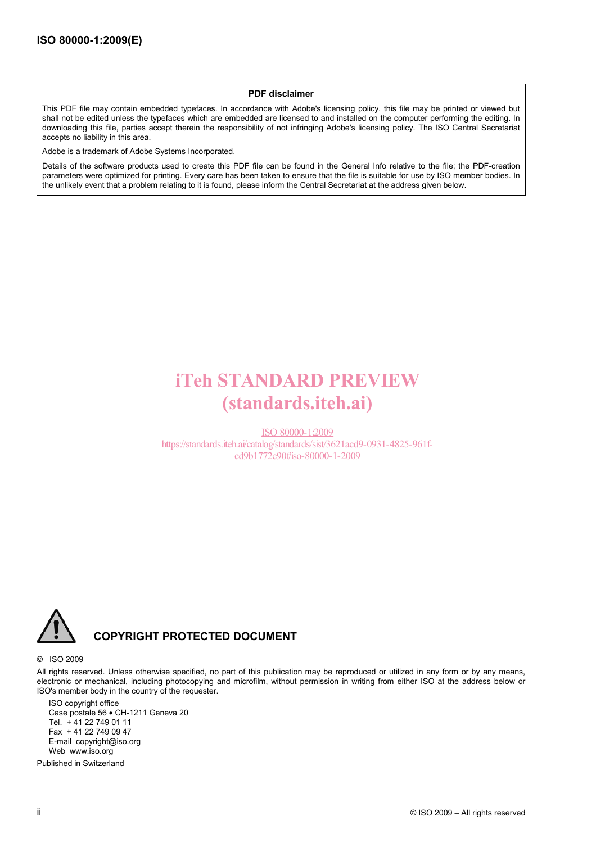#### **PDF disclaimer**

This PDF file may contain embedded typefaces. In accordance with Adobe's licensing policy, this file may be printed or viewed but shall not be edited unless the typefaces which are embedded are licensed to and installed on the computer performing the editing. In downloading this file, parties accept therein the responsibility of not infringing Adobe's licensing policy. The ISO Central Secretariat accepts no liability in this area.

Adobe is a trademark of Adobe Systems Incorporated.

Details of the software products used to create this PDF file can be found in the General Info relative to the file; the PDF-creation parameters were optimized for printing. Every care has been taken to ensure that the file is suitable for use by ISO member bodies. In the unlikely event that a problem relating to it is found, please inform the Central Secretariat at the address given below.

# iTeh STANDARD PREVIEW (standards.iteh.ai)

ISO 80000-1:2009 https://standards.iteh.ai/catalog/standards/sist/3621acd9-0931-4825-961fcd9b1772e90f/iso-80000-1-2009



# **COPYRIGHT PROTECTED DOCUMENT**

#### © ISO 2009

All rights reserved. Unless otherwise specified, no part of this publication may be reproduced or utilized in any form or by any means, electronic or mechanical, including photocopying and microfilm, without permission in writing from either ISO at the address below or ISO's member body in the country of the requester.

ISO copyright office Case postale 56 • CH-1211 Geneva 20 Tel. + 41 22 749 01 11 Fax + 41 22 749 09 47 E-mail copyright@iso.org Web www.iso.org

Published in Switzerland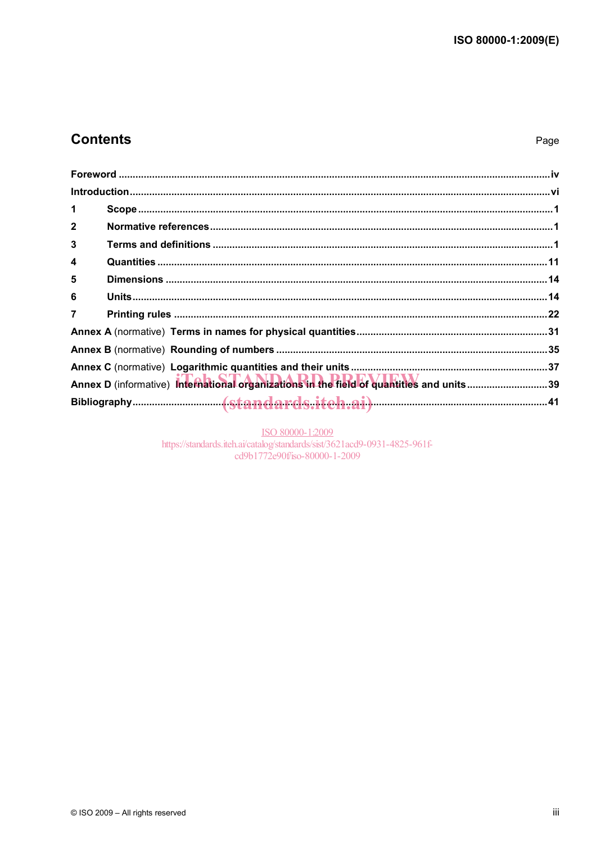# **Contents**

Page

| $\mathbf{1}$   |  |
|----------------|--|
| $\mathbf{2}$   |  |
| 3              |  |
| 4              |  |
| 5              |  |
| 6              |  |
| $\overline{7}$ |  |
|                |  |
|                |  |
|                |  |
|                |  |
|                |  |
|                |  |

ISO 80000-1:2009 https://standards.iteh.ai/catalog/standards/sist/3621acd9-0931-4825-961fcd9b1772e90f/iso-80000-1-2009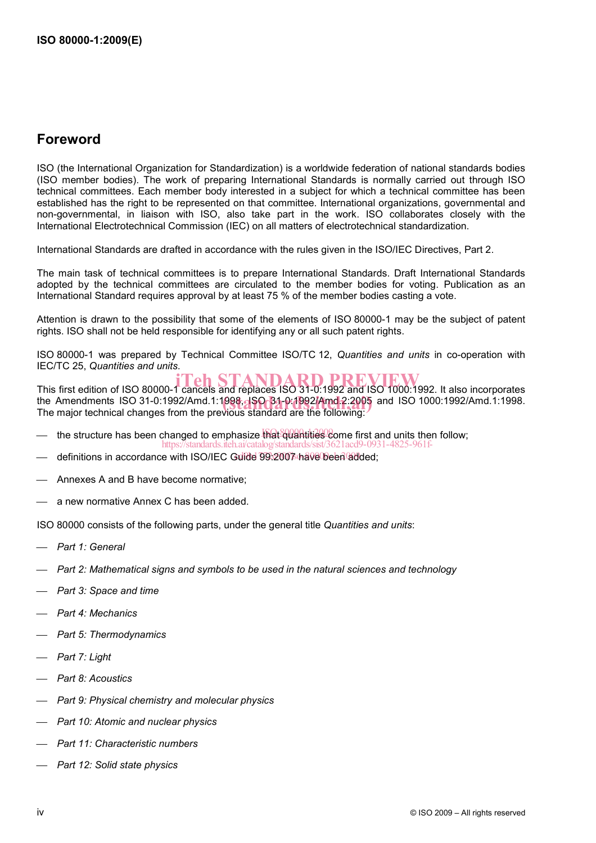# **Foreword**

ISO (the International Organization for Standardization) is a worldwide federation of national standards bodies (ISO member bodies). The work of preparing International Standards is normally carried out through ISO technical committees. Each member body interested in a subject for which a technical committee has been established has the right to be represented on that committee. International organizations, governmental and non-governmental, in liaison with ISO, also take part in the work. ISO collaborates closely with the International Electrotechnical Commission (IEC) on all matters of electrotechnical standardization.

International Standards are drafted in accordance with the rules given in the ISO/IEC Directives, Part 2.

The main task of technical committees is to prepare International Standards. Draft International Standards adopted by the technical committees are circulated to the member bodies for voting. Publication as an International Standard requires approval by at least 75 % of the member bodies casting a vote.

Attention is drawn to the possibility that some of the elements of ISO 80000-1 may be the subject of patent rights. ISO shall not be held responsible for identifying any or all such patent rights.

ISO 80000-1 was prepared by Technical Committee ISO/TC 12, *Quantities and units* in co-operation with IEC/TC 25, *Quantities and units*.

This first edition of ISO 80000-1 cancels and replaces ISO 31-0:1992 and ISO 1000:1992. It also incorporates the Amendments ISO 31-0:1992/Amd.1:1998, ISO 31-0:1992/Amd.2:2005 and ISO 1000:1992/Amd.1:1998.<br>The major technical changes from the previous standard are the following: The major technical changes from the previous standard are the following:

- the structure has been changed to emphasize that quantities come first and units then follow; https://standards.iteh.ai/catalog/standards/sist/3621acd9-0931-4825-961f-
- definitions in accordance with ISO/IEC Guide 99:2007 have been added;
- Annexes A and B have become normative;
- a new normative Annex C has been added.

ISO 80000 consists of the following parts, under the general title *Quantities and units*:

- Part 1: General
- Part 2: Mathematical signs and symbols to be used in the natural sciences and technology
- ⎯ *Part 3: Space and time*
- ⎯ *Part 4: Mechanics*
- ⎯ *Part 5: Thermodynamics*
- Part 7: Light
- ⎯ *Part 8: Acoustics*
- ⎯ *Part 9: Physical chemistry and molecular physics*
- ⎯ *Part 10: Atomic and nuclear physics*
- ⎯ *Part 11: Characteristic numbers*
- ⎯ *Part 12: Solid state physics*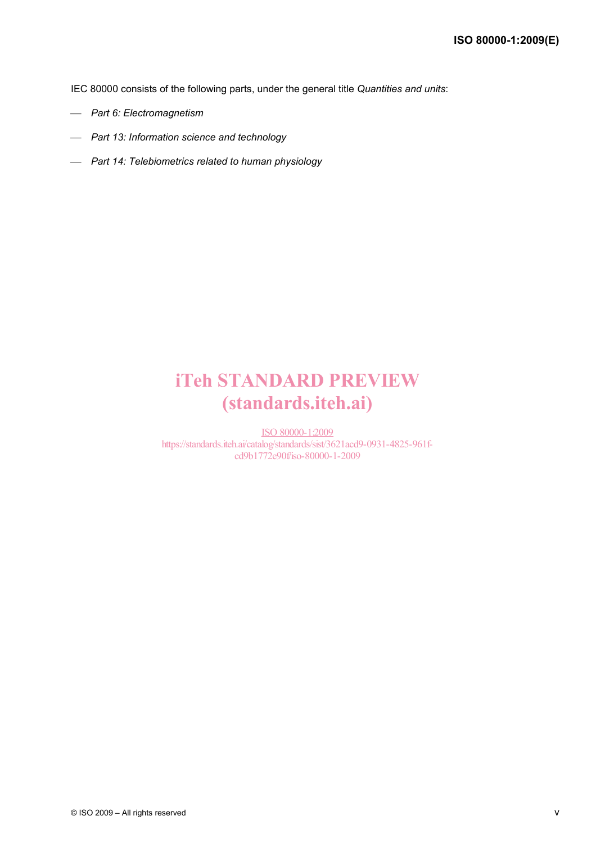IEC 80000 consists of the following parts, under the general title *Quantities and units*:

- ⎯ *Part 6: Electromagnetism*
- ⎯ *Part 13: Information science and technology*
- ⎯ *Part 14: Telebiometrics related to human physiology*

# iTeh STANDARD PREVIEW (standards.iteh.ai)

ISO 80000-1:2009 https://standards.iteh.ai/catalog/standards/sist/3621acd9-0931-4825-961fcd9b1772e90f/iso-80000-1-2009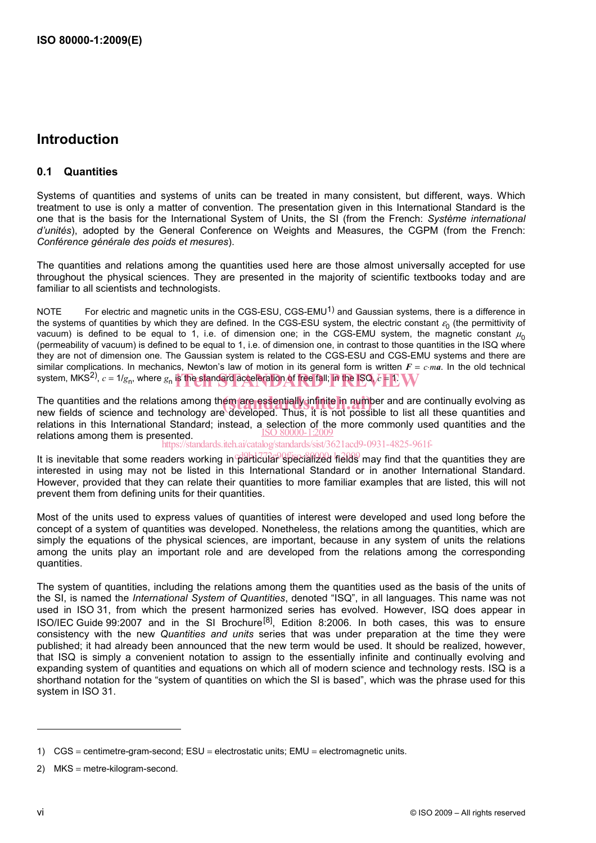# **Introduction**

# **0.1 Quantities**

Systems of quantities and systems of units can be treated in many consistent, but different, ways. Which treatment to use is only a matter of convention. The presentation given in this International Standard is the one that is the basis for the International System of Units, the SI (from the French: *Système international d'unités*), adopted by the General Conference on Weights and Measures, the CGPM (from the French: *Conférence générale des poids et mesures*).

The quantities and relations among the quantities used here are those almost universally accepted for use throughout the physical sciences. They are presented in the majority of scientific textbooks today and are familiar to all scientists and technologists.

NOTE For electric and magnetic units in the CGS-ESU, CGS-EMU<sup>1)</sup> and Gaussian systems, there is a difference in the systems of quantities by which they are defined. In the CGS-ESU system, the electric constant  $\varepsilon_0$  (the permittivity of vacuum) is defined to be equal to 1, i.e. of dimension one; in the CGS-EMU system, the magnetic constant  $\mu_0$ (permeability of vacuum) is defined to be equal to 1, i.e. of dimension one, in contrast to those quantities in the ISQ where they are not of dimension one. The Gaussian system is related to the CGS-ESU and CGS-EMU systems and there are similar complications. In mechanics, Newton's law of motion in its general form is written *F* = *c*⋅*ma*. In the old technical system, MKS<sup>2)</sup>,  $c = 1/g_n$ , where  $g_n$  is the standard acceleration of free fall; in the ISQ,  $c = 1$ .

The quantities and the relations among them are essentially infinite in number and are continually evolving as<br>new fields of science and technology are developed. Thus, it is not possible to list all these quantities and new fields of science and technology are developed. Thus, it is not possible to list all these quantities and relations in this International Standard; instead, a selection of the more commonly used quantities and the relations among them is presented relations among them is presented.

https://standards.iteh.ai/catalog/standards/sist/3621acd9-0931-4825-961f-

It is inevitable that some readers working in particular speciall to fields may find that the quantities they are interested in using may not be listed in this International Standard or in another International Standard. However, provided that they can relate their quantities to more familiar examples that are listed, this will not prevent them from defining units for their quantities.

Most of the units used to express values of quantities of interest were developed and used long before the concept of a system of quantities was developed. Nonetheless, the relations among the quantities, which are simply the equations of the physical sciences, are important, because in any system of units the relations among the units play an important role and are developed from the relations among the corresponding quantities.

The system of quantities, including the relations among them the quantities used as the basis of the units of the SI, is named the *International System of Quantities*, denoted "ISQ", in all languages. This name was not used in ISO 31, from which the present harmonized series has evolved. However, ISQ does appear in ISO/IEC Guide 99:2007 and in the SI Brochure[8], Edition 8:2006. In both cases, this was to ensure consistency with the new *Quantities and units* series that was under preparation at the time they were published; it had already been announced that the new term would be used. It should be realized, however, that ISQ is simply a convenient notation to assign to the essentially infinite and continually evolving and expanding system of quantities and equations on which all of modern science and technology rests. ISQ is a shorthand notation for the "system of quantities on which the SI is based", which was the phrase used for this system in ISO 31.

l

<sup>1)</sup> CGS = centimetre-gram-second; ESU = electrostatic units; EMU = electromagnetic units.

<sup>2)</sup> MKS = metre-kilogram-second.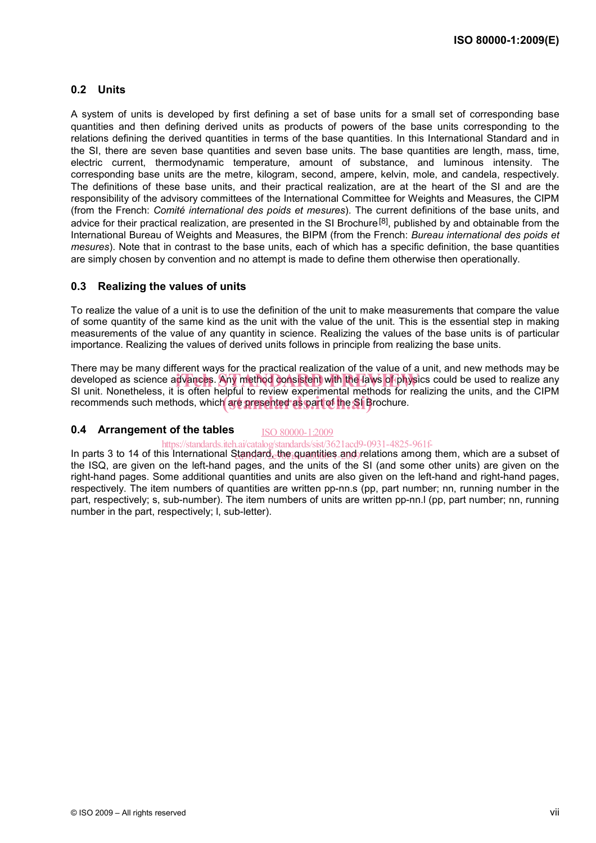# **0.2 Units**

A system of units is developed by first defining a set of base units for a small set of corresponding base quantities and then defining derived units as products of powers of the base units corresponding to the relations defining the derived quantities in terms of the base quantities. In this International Standard and in the SI, there are seven base quantities and seven base units. The base quantities are length, mass, time, electric current, thermodynamic temperature, amount of substance, and luminous intensity. The corresponding base units are the metre, kilogram, second, ampere, kelvin, mole, and candela, respectively. The definitions of these base units, and their practical realization, are at the heart of the SI and are the responsibility of the advisory committees of the International Committee for Weights and Measures, the CIPM (from the French: *Comité international des poids et mesures*). The current definitions of the base units, and advice for their practical realization, are presented in the SI Brochure<sup>[8]</sup>, published by and obtainable from the International Bureau of Weights and Measures, the BIPM (from the French: *Bureau international des poids et mesures*). Note that in contrast to the base units, each of which has a specific definition, the base quantities are simply chosen by convention and no attempt is made to define them otherwise then operationally.

# **0.3 Realizing the values of units**

To realize the value of a unit is to use the definition of the unit to make measurements that compare the value of some quantity of the same kind as the unit with the value of the unit. This is the essential step in making measurements of the value of any quantity in science. Realizing the values of the base units is of particular importance. Realizing the values of derived units follows in principle from realizing the base units.

There may be many different ways for the practical realization of the value of a unit, and new methods may be developed as science advances. Any method consistent with the laws of physics could be used to realize any developed as science advances. Any method consistent with the laws of physics could be used to realize any SL unit. SI unit. Nonetheless, it is often helpful to review experimental methods for realizing the units, and the CIPM or unit. Noncinencies, it is onen neiprar to review experimental methods for it

#### **0.4 Arrangement of the tables**  ISO 80000-1:2009

#### https://standards.iteh.ai/catalog/standards/sist/3621acd9-0931-4825-961f-

In parts 3 to 14 of this International Standard, the quantities and relations among them, which are a subset of the ISQ, are given on the left-hand pages, and the units of the SI (and some other units) are given on the right-hand pages. Some additional quantities and units are also given on the left-hand and right-hand pages, respectively. The item numbers of quantities are written pp-nn.s (pp, part number; nn, running number in the part, respectively; s, sub-number). The item numbers of units are written pp-nn.l (pp, part number; nn, running number in the part, respectively; l, sub-letter).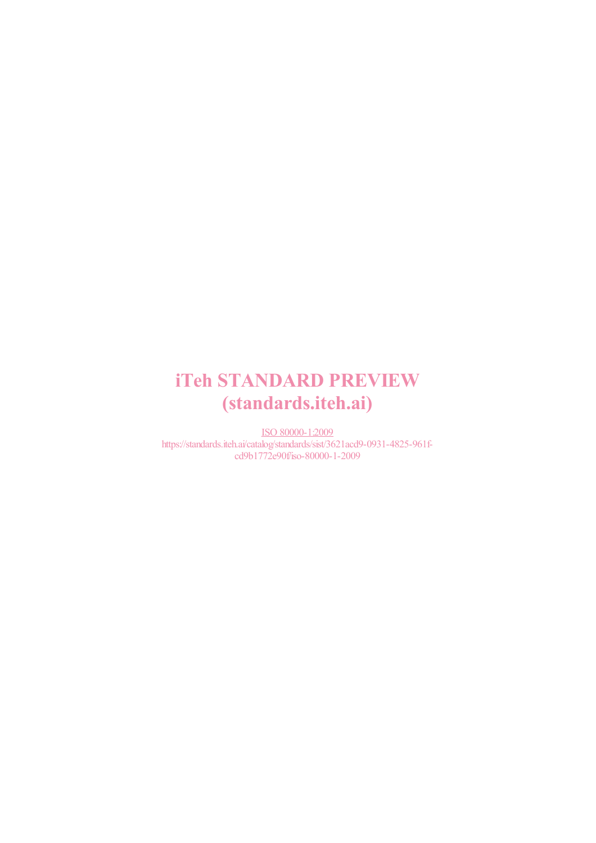# iTeh STANDARD PREVIEW (standards.iteh.ai)

ISO 80000-1:2009 https://standards.iteh.ai/catalog/standards/sist/3621acd9-0931-4825-961fcd9b1772e90f/iso-80000-1-2009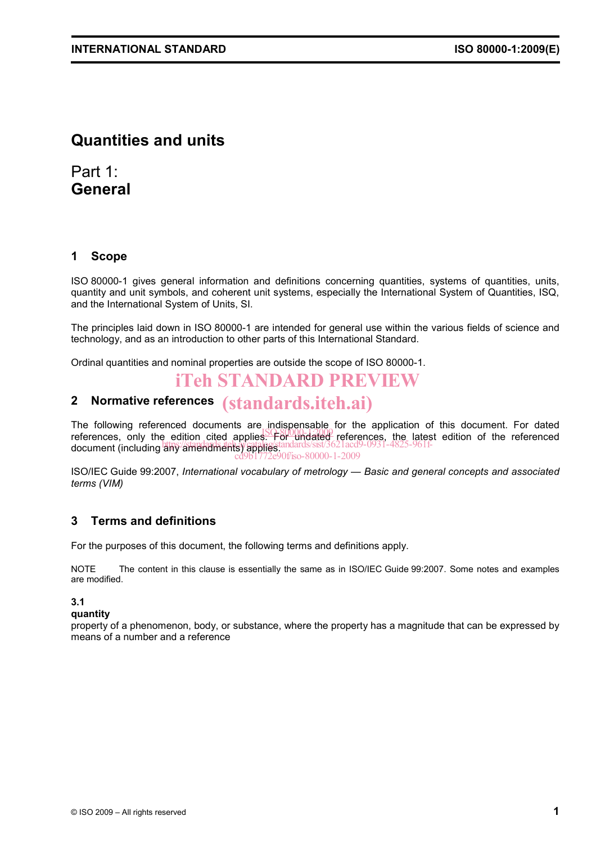# **Quantities and units**

Part 1: **General** 

# **1 Scope**

ISO 80000-1 gives general information and definitions concerning quantities, systems of quantities, units, quantity and unit symbols, and coherent unit systems, especially the International System of Quantities, ISQ, and the International System of Units, SI.

The principles laid down in ISO 80000-1 are intended for general use within the various fields of science and technology, and as an introduction to other parts of this International Standard.

Ordinal quantities and nominal properties are outside the scope of ISO 80000-1.

# iTeh STANDARD PREVIEW

# **2 Normative references**  (standards.iteh.ai)

The following referenced documents are indispensable for the application of this document. For dated references, only the edition cited applies. For undated references, the latest edition of the referenced document (including any amendments) applies. https://standards.iteh.ai/catalog/standards/sist/3621acd9-0931-4825-961fcd9b1772e90f/iso-80000-1-2009

ISO/IEC Guide 99:2007, *International vocabulary of metrology — Basic and general concepts and associated terms (VIM)* 

# **3 Terms and definitions**

For the purposes of this document, the following terms and definitions apply.

NOTE The content in this clause is essentially the same as in ISO/IEC Guide 99:2007. Some notes and examples are modified.

## **3.1**

#### **quantity**

property of a phenomenon, body, or substance, where the property has a magnitude that can be expressed by means of a number and a reference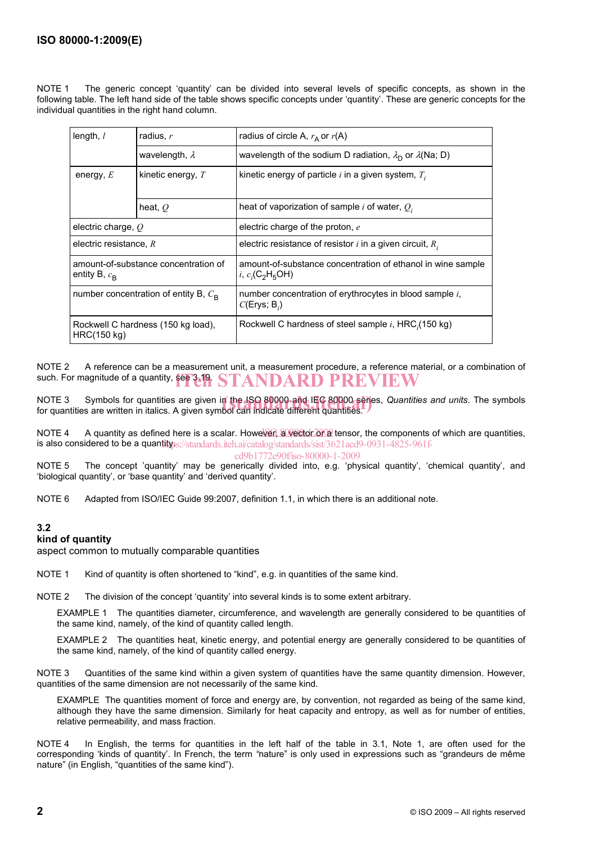NOTE 1 The generic concept 'quantity' can be divided into several levels of specific concepts, as shown in the following table. The left hand side of the table shows specific concepts under 'quantity'. These are generic concepts for the individual quantities in the right hand column.

| length, $l$                        | radius, r                               | radius of circle A, $r_A$ or $r(A)$                                                                        |  |
|------------------------------------|-----------------------------------------|------------------------------------------------------------------------------------------------------------|--|
|                                    | wavelength, $\lambda$                   | wavelength of the sodium D radiation, $\lambda_D$ or $\lambda(Na; D)$                                      |  |
| kinetic energy, $T$<br>energy, $E$ |                                         | kinetic energy of particle $i$ in a given system, $T_i$                                                    |  |
|                                    | heat, $O$                               | heat of vaporization of sample i of water, $Q_i$                                                           |  |
| electric charge, $Q$               |                                         | electric charge of the proton, e                                                                           |  |
| electric resistance, $R$           |                                         | electric resistance of resistor $i$ in a given circuit, $R_i$                                              |  |
| entity B, $c_{\rm B}$              | amount-of-substance concentration of    | amount-of-substance concentration of ethanol in wine sample<br>i, $c_i$ (C <sub>2</sub> H <sub>5</sub> OH) |  |
|                                    | number concentration of entity B, $C_R$ | number concentration of erythrocytes in blood sample $i$ ,<br>$C(\text{Erys}; B_i)$                        |  |
| HRC(150 kg)                        | Rockwell C hardness (150 kg load),      | Rockwell C hardness of steel sample i, HRC, (150 kg)                                                       |  |

NOTE 2 A reference can be a measurement unit, a measurement procedure, a reference material, or a combination of such. For magnitude of a quantity, see 3.19.  $STANDARD$  PREVIEW

NOTE 3 Symbols for quantities are given in the ISO 80000 and IEC 80000 series, *Quantities and units.* The symbols<br>for quantities are written in italics. A given symbol can indicate different quantities. for quantities are written in italics. A given symbol can indicate different quantities.

NOTE 4 A quantity as defined here is a scalar. However, a vector on a tensor, the components of which are quantities, is also considered to be a quantityps://standards.iteh.ai/catalog/standards/sist/3621acd9-0931-4825-961f-

### cd9b1772e90f/iso-80000-1-2009

NOTE 5 The concept 'quantity' may be generically divided into, e.g. 'physical quantity', 'chemical quantity', and 'biological quantity', or 'base quantity' and 'derived quantity'.

NOTE 6 Adapted from ISO/IEC Guide 99:2007, definition 1.1, in which there is an additional note.

#### **3.2**

#### **kind of quantity**

aspect common to mutually comparable quantities

NOTE 1 Kind of quantity is often shortened to "kind", e.g. in quantities of the same kind.

NOTE 2 The division of the concept 'quantity' into several kinds is to some extent arbitrary.

EXAMPLE 1 The quantities diameter, circumference, and wavelength are generally considered to be quantities of the same kind, namely, of the kind of quantity called length.

EXAMPLE 2 The quantities heat, kinetic energy, and potential energy are generally considered to be quantities of the same kind, namely, of the kind of quantity called energy.

NOTE 3 Quantities of the same kind within a given system of quantities have the same quantity dimension. However, quantities of the same dimension are not necessarily of the same kind.

EXAMPLE The quantities moment of force and energy are, by convention, not regarded as being of the same kind, although they have the same dimension. Similarly for heat capacity and entropy, as well as for number of entities, relative permeability, and mass fraction.

NOTE 4 In English, the terms for quantities in the left half of the table in 3.1, Note 1, are often used for the corresponding 'kinds of quantity'. In French, the term *"*nature" is only used in expressions such as "grandeurs de même nature" (in English, "quantities of the same kind").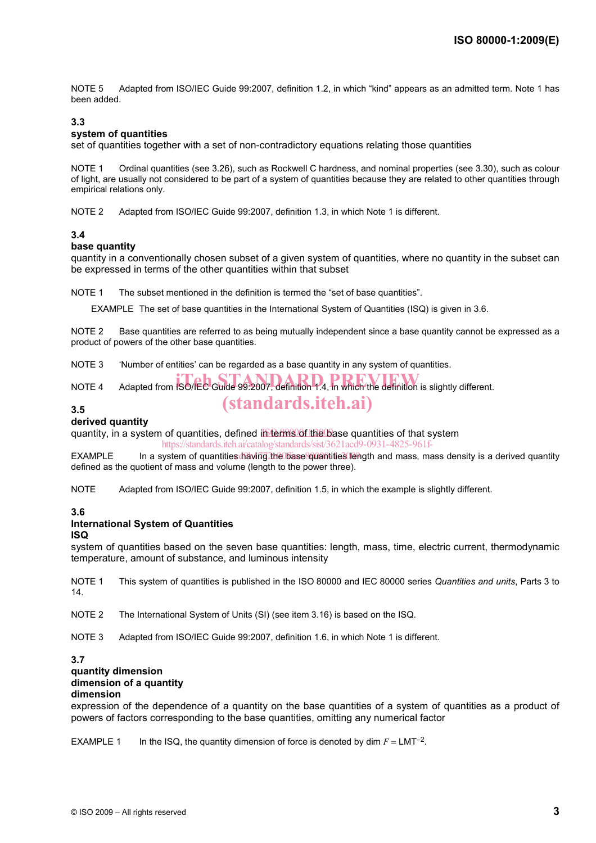NOTE 5 Adapted from ISO/IEC Guide 99:2007, definition 1.2, in which "kind" appears as an admitted term. Note 1 has been added.

### **3.3**

### **system of quantities**

set of quantities together with a set of non-contradictory equations relating those quantities

Ordinal quantities (see 3.26), such as Rockwell C hardness, and nominal properties (see 3.30), such as colour of light, are usually not considered to be part of a system of quantities because they are related to other quantities through empirical relations only.

NOTE 2 Adapted from ISO/IEC Guide 99:2007, definition 1.3, in which Note 1 is different.

### **3.4**

#### **base quantity**

quantity in a conventionally chosen subset of a given system of quantities, where no quantity in the subset can be expressed in terms of the other quantities within that subset

NOTE 1 The subset mentioned in the definition is termed the "set of base quantities".

EXAMPLE The set of base quantities in the International System of Quantities (ISQ) is given in 3.6.

NOTE 2 Base quantities are referred to as being mutually independent since a base quantity cannot be expressed as a product of powers of the other base quantities.

NOTE 3 'Number of entities' can be regarded as a base quantity in any system of quantities.

NOTE 4 Adapted from ISO/IEC Guide 99:2007, definition 1.4, in which the definition is slightly different.

(standards.iteh.ai)

#### **3.5**

#### **derived quantity**

quantity, in a system of quantities, defined in terms of the base quantities of that system https://standards.iteh.ai/catalog/standards/sist/3621acd9-0931-4825-961f-

EXAMPLE In a system of quantities having the base quantities length and mass, mass density is a derived quantity defined as the quotient of mass and volume (length to the power three).

NOTE Adapted from ISO/IEC Guide 99:2007, definition 1.5, in which the example is slightly different.

#### **3.6**

#### **International System of Quantities**

#### **ISQ**

system of quantities based on the seven base quantities: length, mass, time, electric current, thermodynamic temperature, amount of substance, and luminous intensity

NOTE 1 This system of quantities is published in the ISO 80000 and IEC 80000 series *Quantities and units*, Parts 3 to 14.

NOTE 2 The International System of Units (SI) (see item 3.16) is based on the ISQ.

NOTE 3 Adapted from ISO/IEC Guide 99:2007, definition 1.6, in which Note 1 is different.

#### **3.7**

#### **quantity dimension dimension of a quantity**

#### **dimension**

expression of the dependence of a quantity on the base quantities of a system of quantities as a product of powers of factors corresponding to the base quantities, omitting any numerical factor

EXAMPLE 1 In the ISQ, the quantity dimension of force is denoted by dim  $F = LMT^{-2}$ .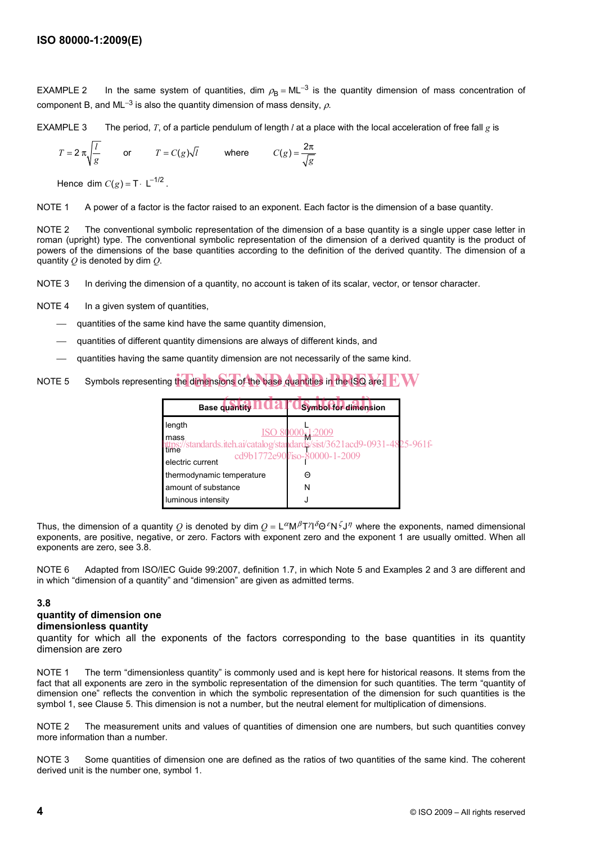EXAMPLE 2 In the same system of quantities, dim  $\rho_B = ML^{-3}$  is the quantity dimension of mass concentration of component B, and ML<sup>-3</sup> is also the quantity dimension of mass density,  $\rho$ .

EXAMPLE 3 The period, *T*, of a particle pendulum of length *l* at a place with the local acceleration of free fall *g* is

$$
T = 2 \pi \sqrt{\frac{l}{g}}
$$
 or  $T = C(g)\sqrt{l}$  where  $C(g) = \frac{2\pi}{\sqrt{g}}$ 

Hence dim  $C(\varrho) = T \cdot L^{-1/2}$ .

NOTE 1 A power of a factor is the factor raised to an exponent. Each factor is the dimension of a base quantity.

NOTE 2 The conventional symbolic representation of the dimension of a base quantity is a single upper case letter in roman (upright) type. The conventional symbolic representation of the dimension of a derived quantity is the product of powers of the dimensions of the base quantities according to the definition of the derived quantity. The dimension of a quantity *Q* is denoted by dim *Q*.

NOTE 3 In deriving the dimension of a quantity, no account is taken of its scalar, vector, or tensor character.

- NOTE 4 In a given system of quantities,
	- quantities of the same kind have the same quantity dimension,
	- ⎯ quantities of different quantity dimensions are always of different kinds, and
	- quantities having the same quantity dimension are not necessarily of the same kind.

# NOTE 5 Symbols representing the dimensions of the base quantities in the ISQ are:  $\pm W$

| <b>Base quantity</b>                       | <b>Symbol for dimension</b>                                                                                                       |
|--------------------------------------------|-----------------------------------------------------------------------------------------------------------------------------------|
| length<br>mass<br>time<br>electric current | <u>ISO 80000-1:2009</u><br>s://standards.iteh.ai/catalog/standards/sist/3621acd9-0931-4825-961f-<br>cd9b1772e90f/iso-80000-1-2009 |
| thermodynamic temperature                  | Θ                                                                                                                                 |
| amount of substance                        | N                                                                                                                                 |
| luminous intensity                         |                                                                                                                                   |

Thus, the dimension of a quantity Q is denoted by dim  $Q = L^{\alpha}M^{\beta}T^{\gamma}\delta^{\Theta\epsilon}N^{\zeta}J^{\eta}$  where the exponents, named dimensional exponents, are positive, negative, or zero. Factors with exponent zero and the exponent 1 are usually omitted. When all exponents are zero, see 3.8.

NOTE 6 Adapted from ISO/IEC Guide 99:2007, definition 1.7, in which Note 5 and Examples 2 and 3 are different and in which "dimension of a quantity" and "dimension" are given as admitted terms.

#### **3.8**

# **quantity of dimension one**

## **dimensionless quantity**

quantity for which all the exponents of the factors corresponding to the base quantities in its quantity dimension are zero

NOTE 1 The term "dimensionless quantity" is commonly used and is kept here for historical reasons. It stems from the fact that all exponents are zero in the symbolic representation of the dimension for such quantities. The term "quantity of dimension one" reflects the convention in which the symbolic representation of the dimension for such quantities is the symbol 1, see Clause 5. This dimension is not a number, but the neutral element for multiplication of dimensions.

NOTE 2 The measurement units and values of quantities of dimension one are numbers, but such quantities convey more information than a number.

NOTE 3 Some quantities of dimension one are defined as the ratios of two quantities of the same kind. The coherent derived unit is the number one, symbol 1.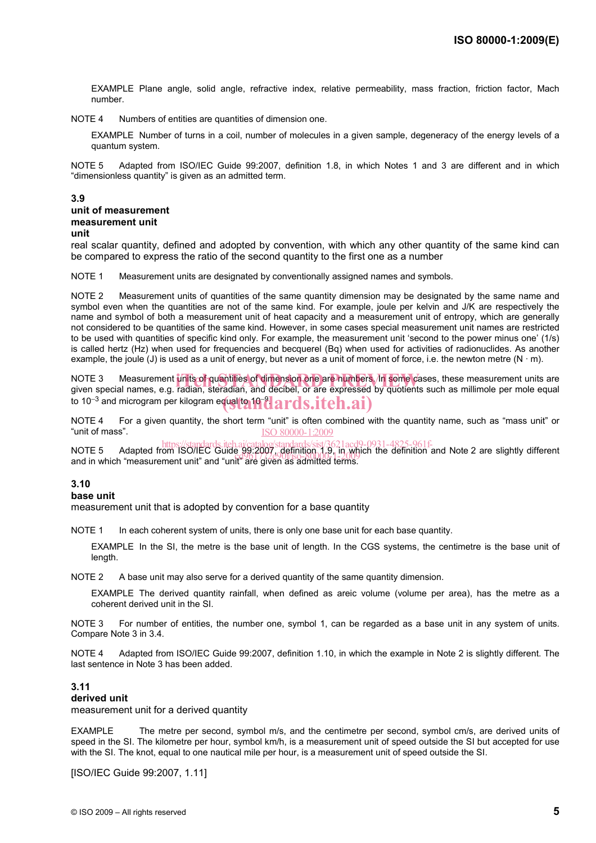EXAMPLE Plane angle, solid angle, refractive index, relative permeability, mass fraction, friction factor, Mach number.

NOTE 4 Numbers of entities are quantities of dimension one.

EXAMPLE Number of turns in a coil, number of molecules in a given sample, degeneracy of the energy levels of a quantum system.

NOTE 5 Adapted from ISO/IEC Guide 99:2007, definition 1.8, in which Notes 1 and 3 are different and in which "dimensionless quantity" is given as an admitted term.

#### **3.9 unit of measurement measurement unit unit**

real scalar quantity, defined and adopted by convention, with which any other quantity of the same kind can be compared to express the ratio of the second quantity to the first one as a number

NOTE 1 Measurement units are designated by conventionally assigned names and symbols.

NOTE 2 Measurement units of quantities of the same quantity dimension may be designated by the same name and symbol even when the quantities are not of the same kind. For example, joule per kelvin and J/K are respectively the name and symbol of both a measurement unit of heat capacity and a measurement unit of entropy, which are generally not considered to be quantities of the same kind. However, in some cases special measurement unit names are restricted to be used with quantities of specific kind only. For example, the measurement unit 'second to the power minus one' (1/s) is called hertz (Hz) when used for frequencies and becquerel (Bq) when used for activities of radionuclides. As another example, the joule (J) is used as a unit of energy, but never as a unit of moment of force, i.e. the newton metre  $(N \cdot m)$ .

NOTE 3 Measurement units of quantities of dimension one are numbers. In some cases, these measurement units are<br>given special names, e.g. radian, steradian, and decibel, or are expressed by quotients such as millimole per given special names, e.g. radian, steradian, and decibel, or are expressed by quotients such as millimole per mole equal to 10<sup>-3</sup> and microgram per kilogram equal to 10<sup>−8</sup>  $\bm{ards}.ite$   $\bm{hi}$ 

NOTE 4 For a given quantity, the short term "unit" is often combined with the quantity name, such as "mass unit" or "unit of mass". ISO 80000-1:2009

https://standards.iteh.ai/catalog/standards/sist/3621acd9-0931-4825-961f-<br>NOTE 5 Adapted from ISO/IEC Guide 99:2007, definition 1.9, in which the definition and Note 2 are slightly different  $\frac{1}{2}$  and in measurement unit" and "unit" are given as admitted terms.

#### **3.10**

#### **base unit**

measurement unit that is adopted by convention for a base quantity

NOTE 1 In each coherent system of units, there is only one base unit for each base quantity.

EXAMPLE In the SI, the metre is the base unit of length. In the CGS systems, the centimetre is the base unit of length.

NOTE 2 A base unit may also serve for a derived quantity of the same quantity dimension.

EXAMPLE The derived quantity rainfall, when defined as areic volume (volume per area), has the metre as a coherent derived unit in the SI.

NOTE 3 For number of entities, the number one, symbol 1, can be regarded as a base unit in any system of units. Compare Note 3 in 3.4.

NOTE 4 Adapted from ISO/IEC Guide 99:2007, definition 1.10, in which the example in Note 2 is slightly different. The last sentence in Note 3 has been added.

#### **3.11**

## **derived unit**

measurement unit for a derived quantity

EXAMPLE The metre per second, symbol m/s, and the centimetre per second, symbol cm/s, are derived units of speed in the SI. The kilometre per hour, symbol km/h, is a measurement unit of speed outside the SI but accepted for use with the SI. The knot, equal to one nautical mile per hour, is a measurement unit of speed outside the SI.

[ISO/IEC Guide 99:2007, 1.11]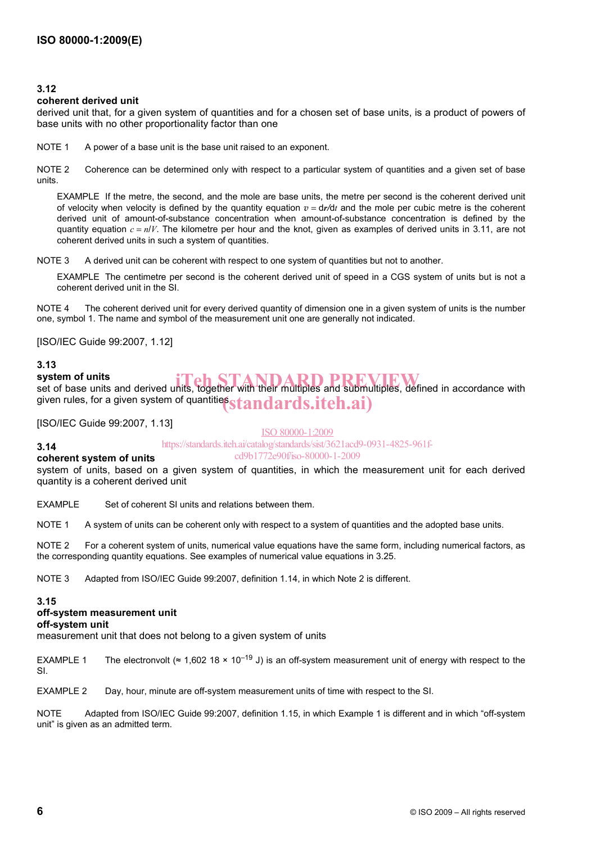## **3.12**

### **coherent derived unit**

derived unit that, for a given system of quantities and for a chosen set of base units, is a product of powers of base units with no other proportionality factor than one

NOTE 1 A power of a base unit is the base unit raised to an exponent.

NOTE 2 Coherence can be determined only with respect to a particular system of quantities and a given set of base units.

EXAMPLE If the metre, the second, and the mole are base units, the metre per second is the coherent derived unit of velocity when velocity is defined by the quantity equation  $v = dr/dt$  and the mole per cubic metre is the coherent derived unit of amount-of-substance concentration when amount-of-substance concentration is defined by the quantity equation  $c = n/V$ . The kilometre per hour and the knot, given as examples of derived units in 3.11, are not coherent derived units in such a system of quantities.

NOTE 3 A derived unit can be coherent with respect to one system of quantities but not to another.

EXAMPLE The centimetre per second is the coherent derived unit of speed in a CGS system of units but is not a coherent derived unit in the SI.

NOTE 4 The coherent derived unit for every derived quantity of dimension one in a given system of units is the number one, symbol 1. The name and symbol of the measurement unit one are generally not indicated.

[ISO/IEC Guide 99:2007, 1.12]

### **3.13**

**3.14** 

### **system of units**

system of units<br>set of base units and derived units, together with their multiples and submultiples, defined in accordance with given rules, for a given system of quantitie $\color{red}(\mathbf{standard} s.\mathbf{iteh}.\mathbf{ai})$ 

[ISO/IEC Guide 99:2007, 1.13]

ISO 80000-1:2009

cd9b1772e90f/iso-80000-1-2009

https://standards.iteh.ai/catalog/standards/sist/3621acd9-0931-4825-961f-

## **coherent system of units**

system of units, based on a given system of quantities, in which the measurement unit for each derived quantity is a coherent derived unit

EXAMPLE Set of coherent SI units and relations between them.

NOTE 1 A system of units can be coherent only with respect to a system of quantities and the adopted base units.

NOTE 2 For a coherent system of units, numerical value equations have the same form, including numerical factors, as the corresponding quantity equations. See examples of numerical value equations in 3.25.

NOTE 3 Adapted from ISO/IEC Guide 99:2007, definition 1.14, in which Note 2 is different.

# **3.15**

# **off-system measurement unit**

**off-system unit** 

measurement unit that does not belong to a given system of units

EXAMPLE 1 The electronvolt (≈ 1,602 18 × 10<sup>-19</sup> J) is an off-system measurement unit of energy with respect to the SI.

EXAMPLE 2 Day, hour, minute are off-system measurement units of time with respect to the SI.

NOTE Adapted from ISO/IEC Guide 99:2007, definition 1.15, in which Example 1 is different and in which "off-system unit" is given as an admitted term.